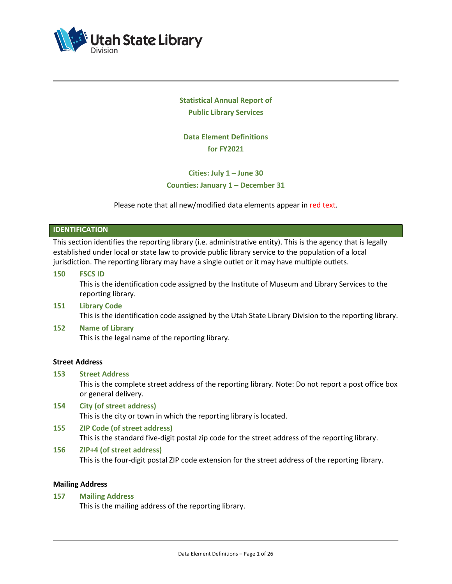

# **Statistical Annual Report of Public Library Services**

**Data Element Definitions for FY2021**

# **Cities: July 1 – June 30 Counties: January 1 – December 31**

Please note that all new/modified data elements appear in red text.

## **IDENTIFICATION**

This section identifies the reporting library (i.e. administrative entity). This is the agency that is legally established under local or state law to provide public library service to the population of a local jurisdiction. The reporting library may have a single outlet or it may have multiple outlets.

**150 FSCS ID**

This is the identification code assigned by the Institute of Museum and Library Services to the reporting library.

- **151 Library Code** This is the identification code assigned by the Utah State Library Division to the reporting library.
- **152 Name of Library** This is the legal name of the reporting library.

## **Street Address**

**153 Street Address**

This is the complete street address of the reporting library. Note: Do not report a post office box or general delivery.

- **154 City (of street address)** This is the city or town in which the reporting library is located.
- **155 ZIP Code (of street address)** This is the standard five-digit postal zip code for the street address of the reporting library.

#### **156 ZIP+4 (of street address)**

This is the four-digit postal ZIP code extension for the street address of the reporting library.

## **Mailing Address**

**157 Mailing Address**

This is the mailing address of the reporting library.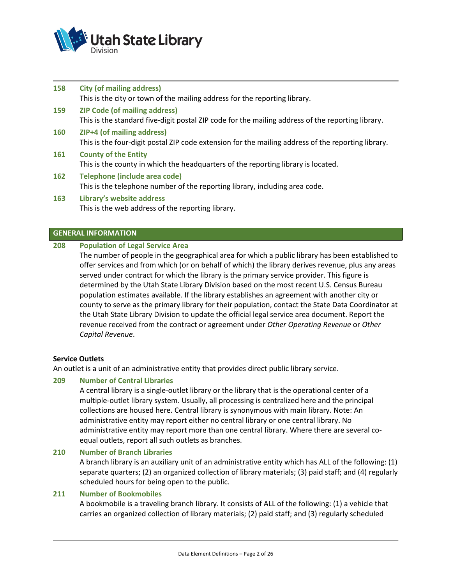

| 158 | <b>City (of mailing address)</b>                                                                                                          |
|-----|-------------------------------------------------------------------------------------------------------------------------------------------|
|     | This is the city or town of the mailing address for the reporting library.                                                                |
| 159 | <b>ZIP Code (of mailing address)</b><br>This is the standard five-digit postal ZIP code for the mailing address of the reporting library. |
| 160 | <b>ZIP+4 (of mailing address)</b><br>This is the four-digit postal ZIP code extension for the mailing address of the reporting library.   |
| 161 | <b>County of the Entity</b><br>This is the county in which the headquarters of the reporting library is located.                          |
| 162 | Telephone (include area code)<br>This is the telephone number of the reporting library, including area code.                              |
| 163 | Library's website address<br>This is the web address of the reporting library.                                                            |

## **GENERAL INFORMATION**

# **208 Population of Legal Service Area**

The number of people in the geographical area for which a public library has been established to offer services and from which (or on behalf of which) the library derives revenue, plus any areas served under contract for which the library is the primary service provider. This figure is determined by the Utah State Library Division based on the most recent U.S. Census Bureau population estimates available. If the library establishes an agreement with another city or county to serve as the primary library for their population, contact the State Data Coordinator at the Utah State Library Division to update the official legal service area document. Report the revenue received from the contract or agreement under *Other Operating Revenue* or *Other Capital Revenue*.

# **Service Outlets**

An outlet is a unit of an administrative entity that provides direct public library service.

# **209 Number of Central Libraries**

A central library is a single-outlet library or the library that is the operational center of a multiple-outlet library system. Usually, all processing is centralized here and the principal collections are housed here. Central library is synonymous with main library. Note: An administrative entity may report either no central library or one central library. No administrative entity may report more than one central library. Where there are several coequal outlets, report all such outlets as branches.

# **210 Number of Branch Libraries**

A branch library is an auxiliary unit of an administrative entity which has ALL of the following: (1) separate quarters; (2) an organized collection of library materials; (3) paid staff; and (4) regularly scheduled hours for being open to the public.

# **211 Number of Bookmobiles**

A bookmobile is a traveling branch library. It consists of ALL of the following: (1) a vehicle that carries an organized collection of library materials; (2) paid staff; and (3) regularly scheduled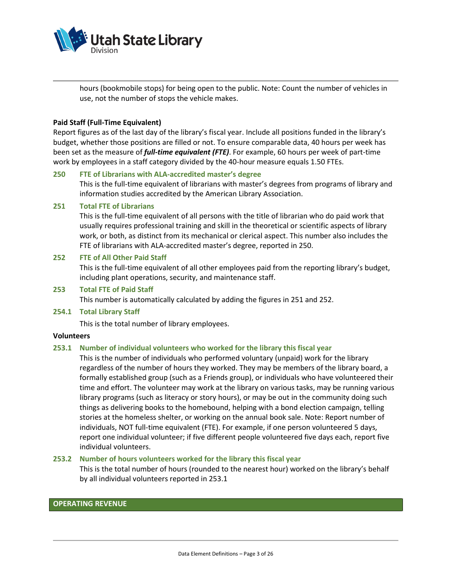

hours (bookmobile stops) for being open to the public. Note: Count the number of vehicles in use, not the number of stops the vehicle makes.

#### **Paid Staff (Full-Time Equivalent)**

Report figures as of the last day of the library's fiscal year. Include all positions funded in the library's budget, whether those positions are filled or not. To ensure comparable data, 40 hours per week has been set as the measure of *full-time equivalent (FTE)*. For example, 60 hours per week of part-time work by employees in a staff category divided by the 40-hour measure equals 1.50 FTEs.

## **250 FTE of Librarians with ALA-accredited master's degree**

This is the full-time equivalent of librarians with master's degrees from programs of library and information studies accredited by the American Library Association.

#### **251 Total FTE of Librarians**

This is the full-time equivalent of all persons with the title of librarian who do paid work that usually requires professional training and skill in the theoretical or scientific aspects of library work, or both, as distinct from its mechanical or clerical aspect. This number also includes the FTE of librarians with ALA-accredited master's degree, reported in 250.

## **252 FTE of All Other Paid Staff**

This is the full-time equivalent of all other employees paid from the reporting library's budget, including plant operations, security, and maintenance staff.

## **253 Total FTE of Paid Staff**

This number is automatically calculated by adding the figures in 251 and 252.

#### **254.1 Total Library Staff**

This is the total number of library employees.

#### **Volunteers**

## **253.1 Number of individual volunteers who worked for the library this fiscal year**

This is the number of individuals who performed voluntary (unpaid) work for the library regardless of the number of hours they worked. They may be members of the library board, a formally established group (such as a Friends group), or individuals who have volunteered their time and effort. The volunteer may work at the library on various tasks, may be running various library programs (such as literacy or story hours), or may be out in the community doing such things as delivering books to the homebound, helping with a bond election campaign, telling stories at the homeless shelter, or working on the annual book sale. Note: Report number of individuals, NOT full-time equivalent (FTE). For example, if one person volunteered 5 days, report one individual volunteer; if five different people volunteered five days each, report five individual volunteers.

#### **253.2 Number of hours volunteers worked for the library this fiscal year**

This is the total number of hours (rounded to the nearest hour) worked on the library's behalf by all individual volunteers reported in 253.1

## **OPERATING REVENUE**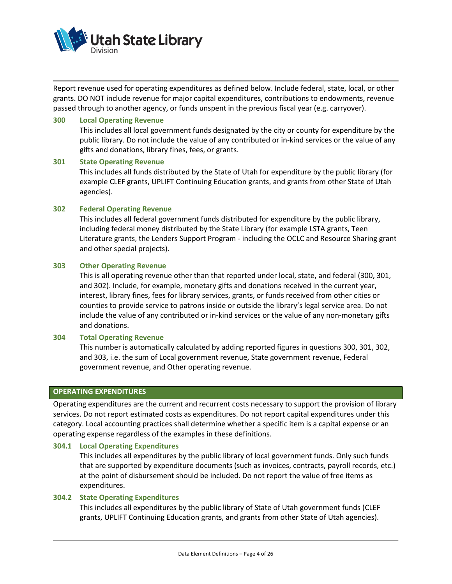

Report revenue used for operating expenditures as defined below. Include federal, state, local, or other grants. DO NOT include revenue for major capital expenditures, contributions to endowments, revenue passed through to another agency, or funds unspent in the previous fiscal year (e.g. carryover).

#### **300 Local Operating Revenue**

This includes all local government funds designated by the city or county for expenditure by the public library. Do not include the value of any contributed or in-kind services or the value of any gifts and donations, library fines, fees, or grants.

#### **301 State Operating Revenue**

This includes all funds distributed by the State of Utah for expenditure by the public library (for example CLEF grants, UPLIFT Continuing Education grants, and grants from other State of Utah agencies).

#### **302 Federal Operating Revenue**

This includes all federal government funds distributed for expenditure by the public library, including federal money distributed by the State Library (for example LSTA grants, Teen Literature grants, the Lenders Support Program - including the OCLC and Resource Sharing grant and other special projects).

#### **303 Other Operating Revenue**

This is all operating revenue other than that reported under local, state, and federal (300, 301, and 302). Include, for example, monetary gifts and donations received in the current year, interest, library fines, fees for library services, grants, or funds received from other cities or counties to provide service to patrons inside or outside the library's legal service area. Do not include the value of any contributed or in-kind services or the value of any non-monetary gifts and donations.

#### **304 Total Operating Revenue**

This number is automatically calculated by adding reported figures in questions 300, 301, 302, and 303, i.e. the sum of Local government revenue, State government revenue, Federal government revenue, and Other operating revenue.

#### **OPERATING EXPENDITURES**

Operating expenditures are the current and recurrent costs necessary to support the provision of library services. Do not report estimated costs as expenditures. Do not report capital expenditures under this category. Local accounting practices shall determine whether a specific item is a capital expense or an operating expense regardless of the examples in these definitions.

#### **304.1 Local Operating Expenditures**

This includes all expenditures by the public library of local government funds. Only such funds that are supported by expenditure documents (such as invoices, contracts, payroll records, etc.) at the point of disbursement should be included. Do not report the value of free items as expenditures.

#### **304.2 State Operating Expenditures**

This includes all expenditures by the public library of State of Utah government funds (CLEF grants, UPLIFT Continuing Education grants, and grants from other State of Utah agencies).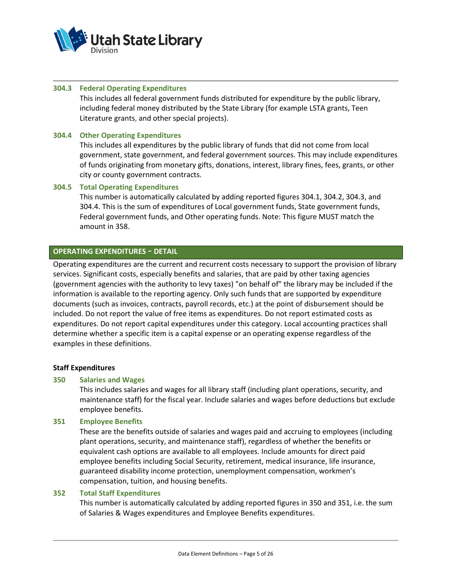

#### **304.3 Federal Operating Expenditures**

This includes all federal government funds distributed for expenditure by the public library, including federal money distributed by the State Library (for example LSTA grants, Teen Literature grants, and other special projects).

## **304.4 Other Operating Expenditures**

This includes all expenditures by the public library of funds that did not come from local government, state government, and federal government sources. This may include expenditures of funds originating from monetary gifts, donations, interest, library fines, fees, grants, or other city or county government contracts.

#### **304.5 Total Operating Expenditures**

This number is automatically calculated by adding reported figures 304.1, 304.2, 304.3, and 304.4. This is the sum of expenditures of Local government funds, State government funds, Federal government funds, and Other operating funds. Note: This figure MUST match the amount in 358.

## **OPERATING EXPENDITURES** ∼ **DETAIL**

Operating expenditures are the current and recurrent costs necessary to support the provision of library services. Significant costs, especially benefits and salaries, that are paid by other taxing agencies (government agencies with the authority to levy taxes) "on behalf of" the library may be included if the information is available to the reporting agency. Only such funds that are supported by expenditure documents (such as invoices, contracts, payroll records, etc.) at the point of disbursement should be included. Do not report the value of free items as expenditures. Do not report estimated costs as expenditures. Do not report capital expenditures under this category. Local accounting practices shall determine whether a specific item is a capital expense or an operating expense regardless of the examples in these definitions.

#### **Staff Expenditures**

#### **350 Salaries and Wages**

This includes salaries and wages for all library staff (including plant operations, security, and maintenance staff) for the fiscal year. Include salaries and wages before deductions but exclude employee benefits.

#### **351 Employee Benefits**

These are the benefits outside of salaries and wages paid and accruing to employees (including plant operations, security, and maintenance staff), regardless of whether the benefits or equivalent cash options are available to all employees. Include amounts for direct paid employee benefits including Social Security, retirement, medical insurance, life insurance, guaranteed disability income protection, unemployment compensation, workmen's compensation, tuition, and housing benefits.

#### **352 Total Staff Expenditures**

This number is automatically calculated by adding reported figures in 350 and 351, i.e. the sum of Salaries & Wages expenditures and Employee Benefits expenditures.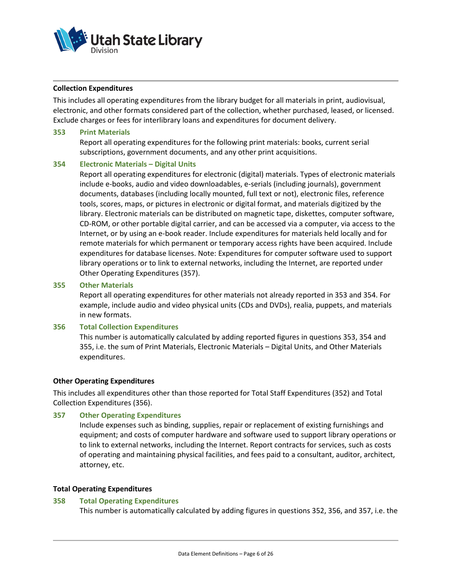

#### **Collection Expenditures**

This includes all operating expenditures from the library budget for all materials in print, audiovisual, electronic, and other formats considered part of the collection, whether purchased, leased, or licensed. Exclude charges or fees for interlibrary loans and expenditures for document delivery.

#### **353 Print Materials**

Report all operating expenditures for the following print materials: books, current serial subscriptions, government documents, and any other print acquisitions.

#### **354 Electronic Materials – Digital Units**

Report all operating expenditures for electronic (digital) materials. Types of electronic materials include e-books, audio and video downloadables, e-serials (including journals), government documents, databases (including locally mounted, full text or not), electronic files, reference tools, scores, maps, or pictures in electronic or digital format, and materials digitized by the library. Electronic materials can be distributed on magnetic tape, diskettes, computer software, CD-ROM, or other portable digital carrier, and can be accessed via a computer, via access to the Internet, or by using an e-book reader. Include expenditures for materials held locally and for remote materials for which permanent or temporary access rights have been acquired. Include expenditures for database licenses. Note: Expenditures for computer software used to support library operations or to link to external networks, including the Internet, are reported under Other Operating Expenditures (357).

#### **355 Other Materials**

Report all operating expenditures for other materials not already reported in 353 and 354. For example, include audio and video physical units (CDs and DVDs), realia, puppets, and materials in new formats.

#### **356 Total Collection Expenditures**

This number is automatically calculated by adding reported figures in questions 353, 354 and 355, i.e. the sum of Print Materials, Electronic Materials – Digital Units, and Other Materials expenditures.

#### **Other Operating Expenditures**

This includes all expenditures other than those reported for Total Staff Expenditures (352) and Total Collection Expenditures (356).

#### **357 Other Operating Expenditures**

Include expenses such as binding, supplies, repair or replacement of existing furnishings and equipment; and costs of computer hardware and software used to support library operations or to link to external networks, including the Internet. Report contracts for services, such as costs of operating and maintaining physical facilities, and fees paid to a consultant, auditor, architect, attorney, etc.

#### **Total Operating Expenditures**

#### **358 Total Operating Expenditures**

This number is automatically calculated by adding figures in questions 352, 356, and 357, i.e. the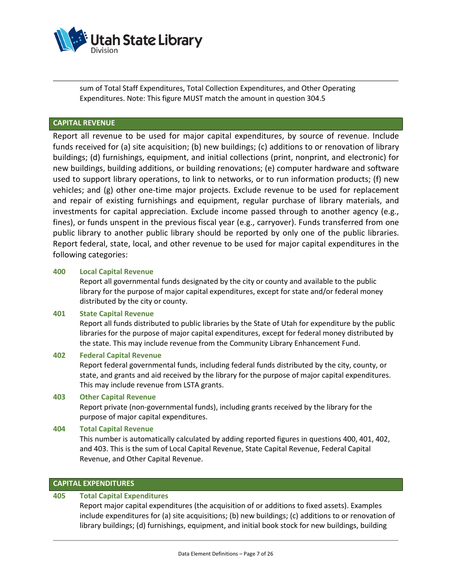

sum of Total Staff Expenditures, Total Collection Expenditures, and Other Operating Expenditures. Note: This figure MUST match the amount in question 304.5

## **CAPITAL REVENUE**

Report all revenue to be used for major capital expenditures, by source of revenue. Include funds received for (a) site acquisition; (b) new buildings; (c) additions to or renovation of library buildings; (d) furnishings, equipment, and initial collections (print, nonprint, and electronic) for new buildings, building additions, or building renovations; (e) computer hardware and software used to support library operations, to link to networks, or to run information products; (f) new vehicles; and (g) other one-time major projects. Exclude revenue to be used for replacement and repair of existing furnishings and equipment, regular purchase of library materials, and investments for capital appreciation. Exclude income passed through to another agency (e.g., fines), or funds unspent in the previous fiscal year (e.g., carryover). Funds transferred from one public library to another public library should be reported by only one of the public libraries. Report federal, state, local, and other revenue to be used for major capital expenditures in the following categories:

#### **400 Local Capital Revenue**

Report all governmental funds designated by the city or county and available to the public library for the purpose of major capital expenditures, except for state and/or federal money distributed by the city or county.

## **401 State Capital Revenue**

Report all funds distributed to public libraries by the State of Utah for expenditure by the public libraries for the purpose of major capital expenditures, except for federal money distributed by the state. This may include revenue from the Community Library Enhancement Fund.

#### **402 Federal Capital Revenue**

Report federal governmental funds, including federal funds distributed by the city, county, or state, and grants and aid received by the library for the purpose of major capital expenditures. This may include revenue from LSTA grants.

#### **403 Other Capital Revenue**

Report private (non-governmental funds), including grants received by the library for the purpose of major capital expenditures.

#### **404 Total Capital Revenue**

This number is automatically calculated by adding reported figures in questions 400, 401, 402, and 403. This is the sum of Local Capital Revenue, State Capital Revenue, Federal Capital Revenue, and Other Capital Revenue.

## **CAPITAL EXPENDITURES**

## **405 Total Capital Expenditures**

Report major capital expenditures (the acquisition of or additions to fixed assets). Examples include expenditures for (a) site acquisitions; (b) new buildings; (c) additions to or renovation of library buildings; (d) furnishings, equipment, and initial book stock for new buildings, building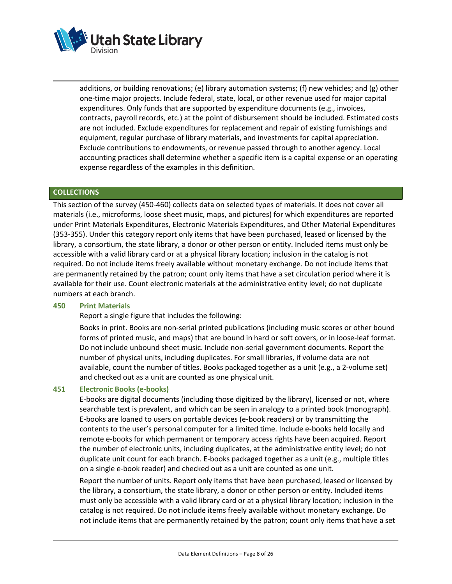

additions, or building renovations; (e) library automation systems; (f) new vehicles; and (g) other one-time major projects. Include federal, state, local, or other revenue used for major capital expenditures. Only funds that are supported by expenditure documents (e.g., invoices, contracts, payroll records, etc.) at the point of disbursement should be included. Estimated costs are not included. Exclude expenditures for replacement and repair of existing furnishings and equipment, regular purchase of library materials, and investments for capital appreciation. Exclude contributions to endowments, or revenue passed through to another agency. Local accounting practices shall determine whether a specific item is a capital expense or an operating expense regardless of the examples in this definition.

## **COLLECTIONS**

This section of the survey (450-460) collects data on selected types of materials. It does not cover all materials (i.e., microforms, loose sheet music, maps, and pictures) for which expenditures are reported under Print Materials Expenditures, Electronic Materials Expenditures, and Other Material Expenditures (353-355). Under this category report only items that have been purchased, leased or licensed by the library, a consortium, the state library, a donor or other person or entity. Included items must only be accessible with a valid library card or at a physical library location; inclusion in the catalog is not required. Do not include items freely available without monetary exchange. Do not include items that are permanently retained by the patron; count only items that have a set circulation period where it is available for their use. Count electronic materials at the administrative entity level; do not duplicate numbers at each branch.

#### **450 Print Materials**

Report a single figure that includes the following:

Books in print. Books are non-serial printed publications (including music scores or other bound forms of printed music, and maps) that are bound in hard or soft covers, or in loose-leaf format. Do not include unbound sheet music. Include non-serial government documents. Report the number of physical units, including duplicates. For small libraries, if volume data are not available, count the number of titles. Books packaged together as a unit (e.g., a 2-volume set) and checked out as a unit are counted as one physical unit.

#### **451 Electronic Books (e-books)**

E-books are digital documents (including those digitized by the library), licensed or not, where searchable text is prevalent, and which can be seen in analogy to a printed book (monograph). E-books are loaned to users on portable devices (e-book readers) or by transmitting the contents to the user's personal computer for a limited time. Include e-books held locally and remote e-books for which permanent or temporary access rights have been acquired. Report the number of electronic units, including duplicates, at the administrative entity level; do not duplicate unit count for each branch. E-books packaged together as a unit (e.g., multiple titles on a single e-book reader) and checked out as a unit are counted as one unit.

Report the number of units. Report only items that have been purchased, leased or licensed by the library, a consortium, the state library, a donor or other person or entity. Included items must only be accessible with a valid library card or at a physical library location; inclusion in the catalog is not required. Do not include items freely available without monetary exchange. Do not include items that are permanently retained by the patron; count only items that have a set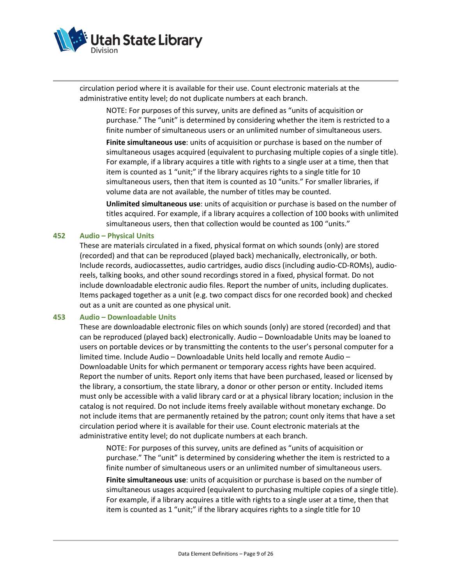

circulation period where it is available for their use. Count electronic materials at the administrative entity level; do not duplicate numbers at each branch.

NOTE: For purposes of this survey, units are defined as "units of acquisition or purchase." The "unit" is determined by considering whether the item is restricted to a finite number of simultaneous users or an unlimited number of simultaneous users.

**Finite simultaneous use**: units of acquisition or purchase is based on the number of simultaneous usages acquired (equivalent to purchasing multiple copies of a single title). For example, if a library acquires a title with rights to a single user at a time, then that item is counted as 1 "unit;" if the library acquires rights to a single title for 10 simultaneous users, then that item is counted as 10 "units." For smaller libraries, if volume data are not available, the number of titles may be counted.

**Unlimited simultaneous use**: units of acquisition or purchase is based on the number of titles acquired. For example, if a library acquires a collection of 100 books with unlimited simultaneous users, then that collection would be counted as 100 "units."

#### **452 Audio – Physical Units**

These are materials circulated in a fixed, physical format on which sounds (only) are stored (recorded) and that can be reproduced (played back) mechanically, electronically, or both. Include records, audiocassettes, audio cartridges, audio discs (including audio-CD-ROMs), audioreels, talking books, and other sound recordings stored in a fixed, physical format. Do not include downloadable electronic audio files. Report the number of units, including duplicates. Items packaged together as a unit (e.g. two compact discs for one recorded book) and checked out as a unit are counted as one physical unit.

#### **453 Audio – Downloadable Units**

These are downloadable electronic files on which sounds (only) are stored (recorded) and that can be reproduced (played back) electronically. Audio – Downloadable Units may be loaned to users on portable devices or by transmitting the contents to the user's personal computer for a limited time. Include Audio – Downloadable Units held locally and remote Audio – Downloadable Units for which permanent or temporary access rights have been acquired. Report the number of units. Report only items that have been purchased, leased or licensed by the library, a consortium, the state library, a donor or other person or entity. Included items must only be accessible with a valid library card or at a physical library location; inclusion in the catalog is not required. Do not include items freely available without monetary exchange. Do not include items that are permanently retained by the patron; count only items that have a set circulation period where it is available for their use. Count electronic materials at the administrative entity level; do not duplicate numbers at each branch.

NOTE: For purposes of this survey, units are defined as "units of acquisition or purchase." The "unit" is determined by considering whether the item is restricted to a finite number of simultaneous users or an unlimited number of simultaneous users.

**Finite simultaneous use**: units of acquisition or purchase is based on the number of simultaneous usages acquired (equivalent to purchasing multiple copies of a single title). For example, if a library acquires a title with rights to a single user at a time, then that item is counted as 1 "unit;" if the library acquires rights to a single title for 10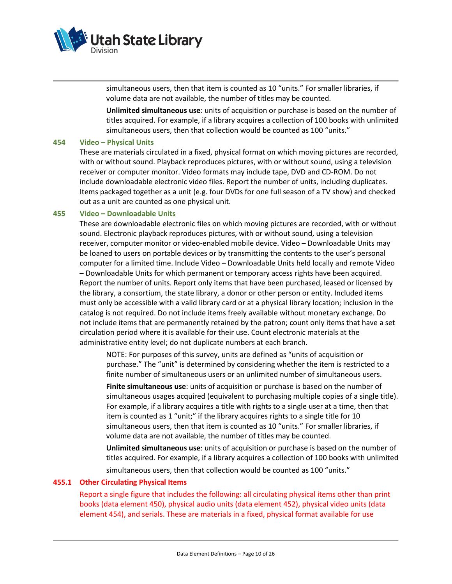

simultaneous users, then that item is counted as 10 "units." For smaller libraries, if volume data are not available, the number of titles may be counted.

**Unlimited simultaneous use**: units of acquisition or purchase is based on the number of titles acquired. For example, if a library acquires a collection of 100 books with unlimited simultaneous users, then that collection would be counted as 100 "units."

#### **454 Video – Physical Units**

These are materials circulated in a fixed, physical format on which moving pictures are recorded, with or without sound. Playback reproduces pictures, with or without sound, using a television receiver or computer monitor. Video formats may include tape, DVD and CD-ROM. Do not include downloadable electronic video files. Report the number of units, including duplicates. Items packaged together as a unit (e.g. four DVDs for one full season of a TV show) and checked out as a unit are counted as one physical unit.

#### **455 Video – Downloadable Units**

These are downloadable electronic files on which moving pictures are recorded, with or without sound. Electronic playback reproduces pictures, with or without sound, using a television receiver, computer monitor or video-enabled mobile device. Video – Downloadable Units may be loaned to users on portable devices or by transmitting the contents to the user's personal computer for a limited time. Include Video – Downloadable Units held locally and remote Video – Downloadable Units for which permanent or temporary access rights have been acquired. Report the number of units. Report only items that have been purchased, leased or licensed by the library, a consortium, the state library, a donor or other person or entity. Included items must only be accessible with a valid library card or at a physical library location; inclusion in the catalog is not required. Do not include items freely available without monetary exchange. Do not include items that are permanently retained by the patron; count only items that have a set circulation period where it is available for their use. Count electronic materials at the administrative entity level; do not duplicate numbers at each branch.

NOTE: For purposes of this survey, units are defined as "units of acquisition or purchase." The "unit" is determined by considering whether the item is restricted to a finite number of simultaneous users or an unlimited number of simultaneous users.

**Finite simultaneous use**: units of acquisition or purchase is based on the number of simultaneous usages acquired (equivalent to purchasing multiple copies of a single title). For example, if a library acquires a title with rights to a single user at a time, then that item is counted as 1 "unit;" if the library acquires rights to a single title for 10 simultaneous users, then that item is counted as 10 "units." For smaller libraries, if volume data are not available, the number of titles may be counted.

**Unlimited simultaneous use**: units of acquisition or purchase is based on the number of titles acquired. For example, if a library acquires a collection of 100 books with unlimited simultaneous users, then that collection would be counted as 100 "units."

#### **455.1 Other Circulating Physical Items**

Report a single figure that includes the following: all circulating physical items other than print books (data element 450), physical audio units (data element 452), physical video units (data element 454), and serials. These are materials in a fixed, physical format available for use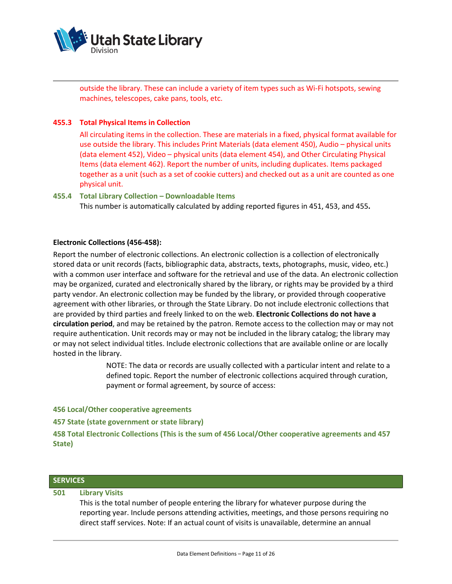

outside the library. These can include a variety of item types such as Wi-Fi hotspots, sewing machines, telescopes, cake pans, tools, etc.

## **455.3 Total Physical Items in Collection**

All circulating items in the collection. These are materials in a fixed, physical format available for use outside the library. This includes Print Materials (data element 450), Audio – physical units (data element 452), Video – physical units (data element 454), and Other Circulating Physical Items (data element 462). Report the number of units, including duplicates. Items packaged together as a unit (such as a set of cookie cutters) and checked out as a unit are counted as one physical unit.

#### **455.4 Total Library Collection – Downloadable Items**

This number is automatically calculated by adding reported figures in 451, 453, and 455**.**

## **Electronic Collections (456-458):**

Report the number of electronic collections. An electronic collection is a collection of electronically stored data or unit records (facts, bibliographic data, abstracts, texts, photographs, music, video, etc.) with a common user interface and software for the retrieval and use of the data. An electronic collection may be organized, curated and electronically shared by the library, or rights may be provided by a third party vendor. An electronic collection may be funded by the library, or provided through cooperative agreement with other libraries, or through the State Library. Do not include electronic collections that are provided by third parties and freely linked to on the web. **Electronic Collections do not have a circulation period**, and may be retained by the patron. Remote access to the collection may or may not require authentication. Unit records may or may not be included in the library catalog; the library may or may not select individual titles. Include electronic collections that are available online or are locally hosted in the library.

> NOTE: The data or records are usually collected with a particular intent and relate to a defined topic. Report the number of electronic collections acquired through curation, payment or formal agreement, by source of access:

**456 Local/Other cooperative agreements**

**457 State (state government or state library)**

**458 Total Electronic Collections (This is the sum of 456 Local/Other cooperative agreements and 457 State)**

# **SERVICES**

#### **501 Library Visits**

This is the total number of people entering the library for whatever purpose during the reporting year. Include persons attending activities, meetings, and those persons requiring no direct staff services. Note: If an actual count of visits is unavailable, determine an annual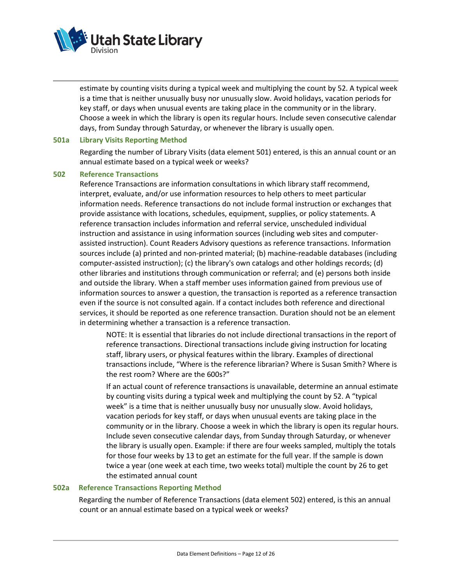

estimate by counting visits during a typical week and multiplying the count by 52. A typical week is a time that is neither unusually busy nor unusually slow. Avoid holidays, vacation periods for key staff, or days when unusual events are taking place in the community or in the library. Choose a week in which the library is open its regular hours. Include seven consecutive calendar days, from Sunday through Saturday, or whenever the library is usually open.

#### **501a Library Visits Reporting Method**

Regarding the number of Library Visits (data element 501) entered, is this an annual count or an annual estimate based on a typical week or weeks?

#### **502 Reference Transactions**

Reference Transactions are information consultations in which library staff recommend, interpret, evaluate, and/or use information resources to help others to meet particular information needs. Reference transactions do not include formal instruction or exchanges that provide assistance with locations, schedules, equipment, supplies, or policy statements. A reference transaction includes information and referral service, unscheduled individual instruction and assistance in using information sources (including web sites and computerassisted instruction). Count Readers Advisory questions as reference transactions. Information sources include (a) printed and non-printed material; (b) machine-readable databases (including computer-assisted instruction); (c) the library's own catalogs and other holdings records; (d) other libraries and institutions through communication or referral; and (e) persons both inside and outside the library. When a staff member uses information gained from previous use of information sources to answer a question, the transaction is reported as a reference transaction even if the source is not consulted again. If a contact includes both reference and directional services, it should be reported as one reference transaction. Duration should not be an element in determining whether a transaction is a reference transaction.

NOTE: It is essential that libraries do not include directional transactions in the report of reference transactions. Directional transactions include giving instruction for locating staff, library users, or physical features within the library. Examples of directional transactions include, "Where is the reference librarian? Where is Susan Smith? Where is the rest room? Where are the 600s?"

If an actual count of reference transactions is unavailable, determine an annual estimate by counting visits during a typical week and multiplying the count by 52. A "typical week" is a time that is neither unusually busy nor unusually slow. Avoid holidays, vacation periods for key staff, or days when unusual events are taking place in the community or in the library. Choose a week in which the library is open its regular hours. Include seven consecutive calendar days, from Sunday through Saturday, or whenever the library is usually open. Example: if there are four weeks sampled, multiply the totals for those four weeks by 13 to get an estimate for the full year. If the sample is down twice a year (one week at each time, two weeks total) multiple the count by 26 to get the estimated annual count

#### **502a Reference Transactions Reporting Method**

 Regarding the number of Reference Transactions (data element 502) entered, is this an annual count or an annual estimate based on a typical week or weeks?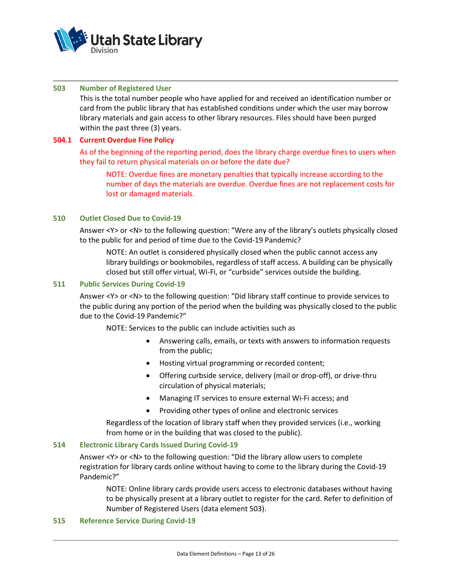

#### **503 Number of Registered User**

This is the total number people who have applied for and received an identification number or card from the public library that has established conditions under which the user may borrow library materials and gain access to other library resources. Files should have been purged within the past three (3) years.

#### **504.1 Current Overdue Fine Policy**

As of the beginning of the reporting period, does the library charge overdue fines to users when they fail to return physical materials on or before the date due?

NOTE: Overdue fines are monetary penalties that typically increase according to the number of days the materials are overdue. Overdue fines are not replacement costs for lost or damaged materials.

#### **510 Outlet Closed Due to Covid-19**

Answer <Y> or <N> to the following question: "Were any of the library's outlets physically closed to the public for and period of time due to the Covid-19 Pandemic?

NOTE: An outlet is considered physically closed when the public cannot access any library buildings or bookmobiles, regardless of staff access. A building can be physically closed but still offer virtual, Wi-Fi, or "curbside" services outside the building.

#### **511 Public Services During Covid-19**

Answer <Y> or <N> to the following question: "Did library staff continue to provide services to the public during any portion of the period when the building was physically closed to the public due to the Covid-19 Pandemic?"

NOTE: Services to the public can include activities such as

- Answering calls, emails, or texts with answers to information requests from the public;
- Hosting virtual programming or recorded content;
- Offering curbside service, delivery (mail or drop-off), or drive-thru circulation of physical materials;
- Managing IT services to ensure external Wi-Fi access; and
- Providing other types of online and electronic services

Regardless of the location of library staff when they provided services (i.e., working from home or in the building that was closed to the public).

## **514 Electronic Library Cards Issued During Covid-19**

Answer <Y> or <N> to the following question: "Did the library allow users to complete registration for library cards online without having to come to the library during the Covid-19 Pandemic?"

NOTE: Online library cards provide users access to electronic databases without having to be physically present at a library outlet to register for the card. Refer to definition of Number of Registered Users (data element 503).

#### **515 Reference Service During Covid-19**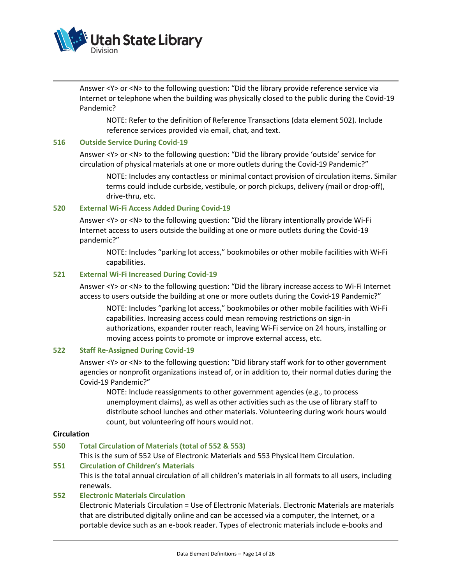

Answer <Y> or <N> to the following question: "Did the library provide reference service via Internet or telephone when the building was physically closed to the public during the Covid-19 Pandemic?

NOTE: Refer to the definition of Reference Transactions (data element 502). Include reference services provided via email, chat, and text.

#### **516 Outside Service During Covid-19**

Answer <Y> or <N> to the following question: "Did the library provide 'outside' service for circulation of physical materials at one or more outlets during the Covid-19 Pandemic?"

NOTE: Includes any contactless or minimal contact provision of circulation items. Similar terms could include curbside, vestibule, or porch pickups, delivery (mail or drop-off), drive-thru, etc.

#### **520 External Wi-Fi Access Added During Covid-19**

Answer <Y> or <N> to the following question: "Did the library intentionally provide Wi-Fi Internet access to users outside the building at one or more outlets during the Covid-19 pandemic?"

NOTE: Includes "parking lot access," bookmobiles or other mobile facilities with Wi-Fi capabilities.

#### **521 External Wi-Fi Increased During Covid-19**

Answer <Y> or <N> to the following question: "Did the library increase access to Wi-Fi Internet access to users outside the building at one or more outlets during the Covid-19 Pandemic?"

NOTE: Includes "parking lot access," bookmobiles or other mobile facilities with Wi-Fi capabilities. Increasing access could mean removing restrictions on sign-in authorizations, expander router reach, leaving Wi-Fi service on 24 hours, installing or moving access points to promote or improve external access, etc.

#### **522 Staff Re-Assigned During Covid-19**

Answer <Y> or <N> to the following question: "Did library staff work for to other government agencies or nonprofit organizations instead of, or in addition to, their normal duties during the Covid-19 Pandemic?"

NOTE: Include reassignments to other government agencies (e.g., to process unemployment claims), as well as other activities such as the use of library staff to distribute school lunches and other materials. Volunteering during work hours would count, but volunteering off hours would not.

#### **Circulation**

#### **550 Total Circulation of Materials (total of 552 & 553)**

This is the sum of 552 Use of Electronic Materials and 553 Physical Item Circulation.

#### **551 Circulation of Children's Materials**

This is the total annual circulation of all children's materials in all formats to all users, including renewals.

#### **552 Electronic Materials Circulation**

Electronic Materials Circulation = Use of Electronic Materials. Electronic Materials are materials that are distributed digitally online and can be accessed via a computer, the Internet, or a portable device such as an e-book reader. Types of electronic materials include e-books and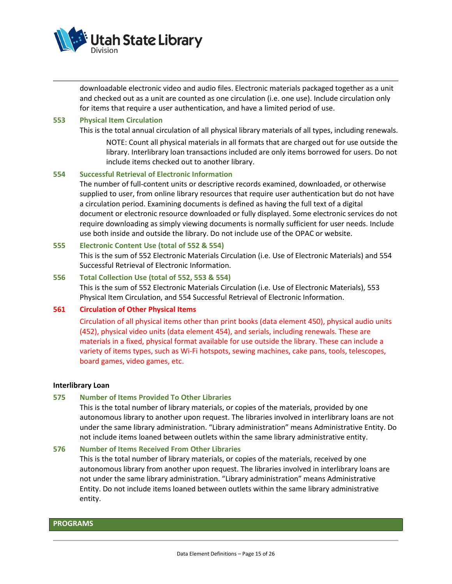

downloadable electronic video and audio files. Electronic materials packaged together as a unit and checked out as a unit are counted as one circulation (i.e. one use). Include circulation only for items that require a user authentication, and have a limited period of use.

#### **553 Physical Item Circulation**

This is the total annual circulation of all physical library materials of all types, including renewals.

NOTE: Count all physical materials in all formats that are charged out for use outside the library. Interlibrary loan transactions included are only items borrowed for users. Do not include items checked out to another library.

## **554 Successful Retrieval of Electronic Information**

The number of full-content units or descriptive records examined, downloaded, or otherwise supplied to user, from online library resources that require user authentication but do not have a circulation period. Examining documents is defined as having the full text of a digital document or electronic resource downloaded or fully displayed. Some electronic services do not require downloading as simply viewing documents is normally sufficient for user needs. Include use both inside and outside the library. Do not include use of the OPAC or website.

#### **555 Electronic Content Use (total of 552 & 554)**

This is the sum of 552 Electronic Materials Circulation (i.e. Use of Electronic Materials) and 554 Successful Retrieval of Electronic Information.

## **556 Total Collection Use (total of 552, 553 & 554)**

This is the sum of 552 Electronic Materials Circulation (i.e. Use of Electronic Materials), 553 Physical Item Circulation, and 554 Successful Retrieval of Electronic Information.

#### **561 Circulation of Other Physical Items**

Circulation of all physical items other than print books (data element 450), physical audio units (452), physical video units (data element 454), and serials, including renewals. These are materials in a fixed, physical format available for use outside the library. These can include a variety of items types, such as Wi-Fi hotspots, sewing machines, cake pans, tools, telescopes, board games, video games, etc.

#### **Interlibrary Loan**

#### **575 Number of Items Provided To Other Libraries**

This is the total number of library materials, or copies of the materials, provided by one autonomous library to another upon request. The libraries involved in interlibrary loans are not under the same library administration. "Library administration" means Administrative Entity. Do not include items loaned between outlets within the same library administrative entity.

#### **576 Number of Items Received From Other Libraries**

This is the total number of library materials, or copies of the materials, received by one autonomous library from another upon request. The libraries involved in interlibrary loans are not under the same library administration. "Library administration" means Administrative Entity. Do not include items loaned between outlets within the same library administrative entity.

#### **PROGRAMS**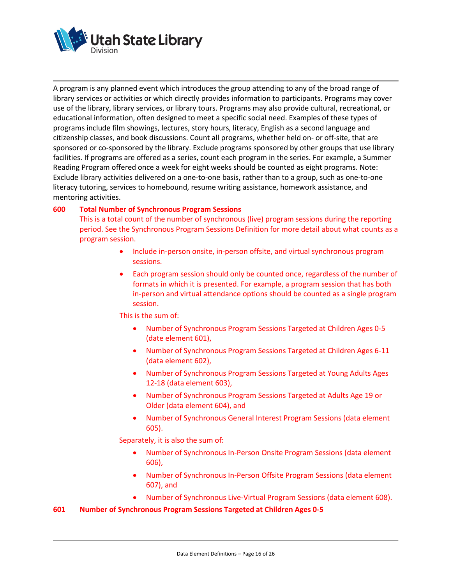

A program is any planned event which introduces the group attending to any of the broad range of library services or activities or which directly provides information to participants. Programs may cover use of the library, library services, or library tours. Programs may also provide cultural, recreational, or educational information, often designed to meet a specific social need. Examples of these types of programs include film showings, lectures, story hours, literacy, English as a second language and citizenship classes, and book discussions. Count all programs, whether held on- or off-site, that are sponsored or co-sponsored by the library. Exclude programs sponsored by other groups that use library facilities. If programs are offered as a series, count each program in the series. For example, a Summer Reading Program offered once a week for eight weeks should be counted as eight programs. Note: Exclude library activities delivered on a one-to-one basis, rather than to a group, such as one-to-one literacy tutoring, services to homebound, resume writing assistance, homework assistance, and mentoring activities.

## **600 Total Number of Synchronous Program Sessions**

This is a total count of the number of synchronous (live) program sessions during the reporting period. See the Synchronous Program Sessions Definition for more detail about what counts as a program session.

- Include in-person onsite, in-person offsite, and virtual synchronous program sessions.
- Each program session should only be counted once, regardless of the number of formats in which it is presented. For example, a program session that has both in-person and virtual attendance options should be counted as a single program session.

This is the sum of:

- Number of Synchronous Program Sessions Targeted at Children Ages 0-5 (date element 601),
- Number of Synchronous Program Sessions Targeted at Children Ages 6-11 (data element 602),
- Number of Synchronous Program Sessions Targeted at Young Adults Ages 12-18 (data element 603),
- Number of Synchronous Program Sessions Targeted at Adults Age 19 or Older (data element 604), and
- Number of Synchronous General Interest Program Sessions (data element 605).

Separately, it is also the sum of:

- Number of Synchronous In-Person Onsite Program Sessions (data element 606),
- Number of Synchronous In-Person Offsite Program Sessions (data element 607), and
- Number of Synchronous Live-Virtual Program Sessions (data element 608).

**601 Number of Synchronous Program Sessions Targeted at Children Ages 0-5**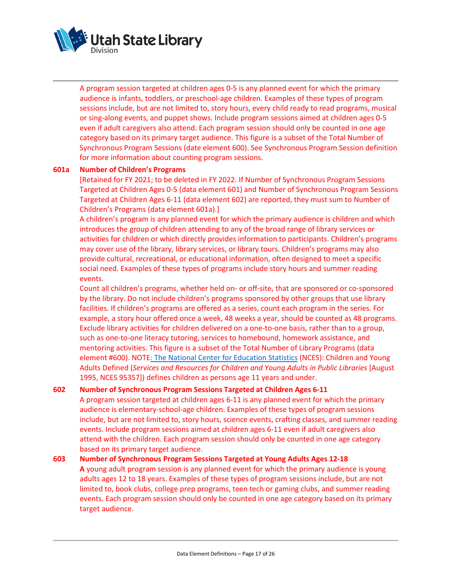

A program session targeted at children ages 0-5 is any planned event for which the primary audience is infants, toddlers, or preschool-age children. Examples of these types of program sessions include, but are not limited to, story hours, every child ready to read programs, musical or sing-along events, and puppet shows. Include program sessions aimed at children ages 0-5 even if adult caregivers also attend. Each program session should only be counted in one age category based on its primary target audience. This figure is a subset of the Total Number of Synchronous Program Sessions (date element 600). See Synchronous Program Session definition for more information about counting program sessions.

## **601a Number of Children's Programs**

[Retained for FY 2021; to be deleted in FY 2022. If Number of Synchronous Program Sessions Targeted at Children Ages 0-5 (data element 601) and Number of Synchronous Program Sessions Targeted at Children Ages 6-11 (data element 602) are reported, they must sum to Number of Children's Programs (data element 601a).]

A children's program is any planned event for which the primary audience is children and which introduces the group of children attending to any of the broad range of library services or activities for children or which directly provides information to participants. Children's programs may cover use of the library, library services, or library tours. Children's programs may also provide cultural, recreational, or educational information, often designed to meet a specific social need. Examples of these types of programs include story hours and summer reading events.

Count all children's programs, whether held on- or off-site, that are sponsored or co-sponsored by the library. Do not include children's programs sponsored by other groups that use library facilities. If children's programs are offered as a series, count each program in the series. For example, a story hour offered once a week, 48 weeks a year, should be counted as 48 programs. Exclude library activities for children delivered on a one-to-one basis, rather than to a group, such as one-to-one literacy tutoring, services to homebound, homework assistance, and mentoring activities. This figure is a subset of the Total Number of Library Programs (data element #600). NOT[E: The National Center for Education Statistics](https://nces.ed.gov/) (NCES): Children and Young Adults Defined (*Services and Resources for Children and Young Adults in Public Libraries* [August 1995, NCES 95357]) defines children as persons age 11 years and under.

## **602 Number of Synchronous Program Sessions Targeted at Children Ages 6-11**

A program session targeted at children ages 6-11 is any planned event for which the primary audience is elementary-school-age children. Examples of these types of program sessions include, but are not limited to, story hours, science events, crafting classes, and summer reading events. Include program sessions aimed at children ages 6-11 even if adult caregivers also attend with the children. Each program session should only be counted in one age category based on its primary target audience.

**603 Number of Synchronous Program Sessions Targeted at Young Adults Ages 12-18 A** young adult program session is any planned event for which the primary audience is young adults ages 12 to 18 years. Examples of these types of program sessions include, but are not limited to, book clubs, college prep programs, teen tech or gaming clubs, and summer reading events. Each program session should only be counted in one age category based on its primary target audience.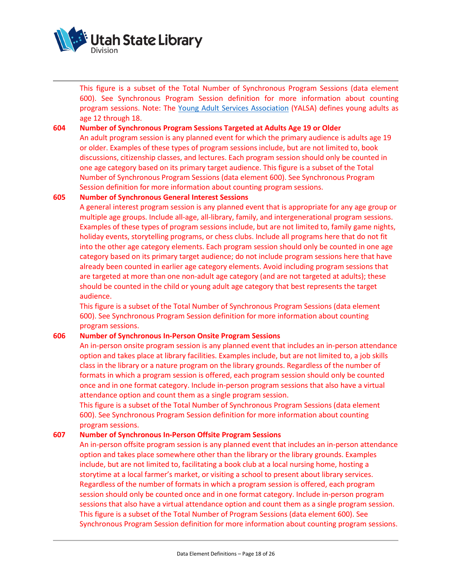

This figure is a subset of the Total Number of Synchronous Program Sessions (data element 600). See Synchronous Program Session definition for more information about counting program sessions. Note: The [Young Adult Services Association](https://www.ala.org/yalsa/) (YALSA) defines young adults as age 12 through 18.

## **604 Number of Synchronous Program Sessions Targeted at Adults Age 19 or Older**

An adult program session is any planned event for which the primary audience is adults age 19 or older. Examples of these types of program sessions include, but are not limited to, book discussions, citizenship classes, and lectures. Each program session should only be counted in one age category based on its primary target audience. This figure is a subset of the Total Number of Synchronous Program Sessions (data element 600). See Synchronous Program Session definition for more information about counting program sessions.

## **605 Number of Synchronous General Interest Sessions**

A general interest program session is any planned event that is appropriate for any age group or multiple age groups. Include all-age, all-library, family, and intergenerational program sessions. Examples of these types of program sessions include, but are not limited to, family game nights, holiday events, storytelling programs, or chess clubs. Include all programs here that do not fit into the other age category elements. Each program session should only be counted in one age category based on its primary target audience; do not include program sessions here that have already been counted in earlier age category elements. Avoid including program sessions that are targeted at more than one non-adult age category (and are not targeted at adults); these should be counted in the child or young adult age category that best represents the target audience.

This figure is a subset of the Total Number of Synchronous Program Sessions (data element 600). See Synchronous Program Session definition for more information about counting program sessions.

#### **606 Number of Synchronous In-Person Onsite Program Sessions**

An in-person onsite program session is any planned event that includes an in-person attendance option and takes place at library facilities. Examples include, but are not limited to, a job skills class in the library or a nature program on the library grounds. Regardless of the number of formats in which a program session is offered, each program session should only be counted once and in one format category. Include in-person program sessions that also have a virtual attendance option and count them as a single program session.

This figure is a subset of the Total Number of Synchronous Program Sessions (data element 600). See Synchronous Program Session definition for more information about counting program sessions.

## **607 Number of Synchronous In-Person Offsite Program Sessions**

An in-person offsite program session is any planned event that includes an in-person attendance option and takes place somewhere other than the library or the library grounds. Examples include, but are not limited to, facilitating a book club at a local nursing home, hosting a storytime at a local farmer's market, or visiting a school to present about library services. Regardless of the number of formats in which a program session is offered, each program session should only be counted once and in one format category. Include in-person program sessions that also have a virtual attendance option and count them as a single program session. This figure is a subset of the Total Number of Program Sessions (data element 600). See Synchronous Program Session definition for more information about counting program sessions.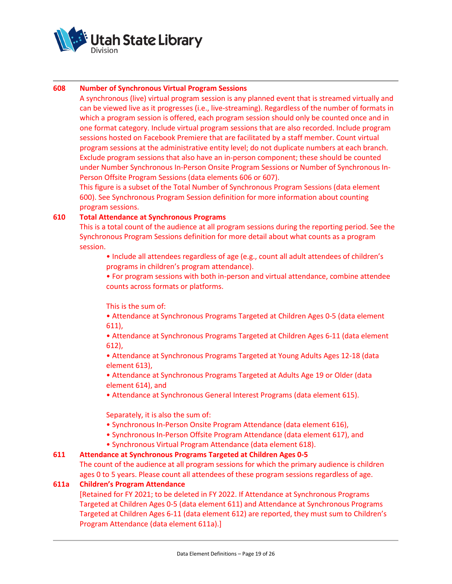

## **608 Number of Synchronous Virtual Program Sessions**

A synchronous (live) virtual program session is any planned event that is streamed virtually and can be viewed live as it progresses (i.e., live-streaming). Regardless of the number of formats in which a program session is offered, each program session should only be counted once and in one format category. Include virtual program sessions that are also recorded. Include program sessions hosted on Facebook Premiere that are facilitated by a staff member. Count virtual program sessions at the administrative entity level; do not duplicate numbers at each branch. Exclude program sessions that also have an in-person component; these should be counted under Number Synchronous In-Person Onsite Program Sessions or Number of Synchronous In-Person Offsite Program Sessions (data elements 606 or 607).

This figure is a subset of the Total Number of Synchronous Program Sessions (data element 600). See Synchronous Program Session definition for more information about counting program sessions.

## **610 Total Attendance at Synchronous Programs**

This is a total count of the audience at all program sessions during the reporting period. See the Synchronous Program Sessions definition for more detail about what counts as a program session.

• Include all attendees regardless of age (e.g., count all adult attendees of children's programs in children's program attendance).

• For program sessions with both in-person and virtual attendance, combine attendee counts across formats or platforms.

This is the sum of:

• Attendance at Synchronous Programs Targeted at Children Ages 0-5 (data element 611),

• Attendance at Synchronous Programs Targeted at Children Ages 6-11 (data element 612),

• Attendance at Synchronous Programs Targeted at Young Adults Ages 12-18 (data element 613),

• Attendance at Synchronous Programs Targeted at Adults Age 19 or Older (data element 614), and

• Attendance at Synchronous General Interest Programs (data element 615).

Separately, it is also the sum of:

- Synchronous In-Person Onsite Program Attendance (data element 616),
- Synchronous In-Person Offsite Program Attendance (data element 617), and
- Synchronous Virtual Program Attendance (data element 618).

## **611 Attendance at Synchronous Programs Targeted at Children Ages 0-5**

The count of the audience at all program sessions for which the primary audience is children ages 0 to 5 years. Please count all attendees of these program sessions regardless of age.

#### **611a Children's Program Attendance**

[Retained for FY 2021; to be deleted in FY 2022. If Attendance at Synchronous Programs Targeted at Children Ages 0-5 (data element 611) and Attendance at Synchronous Programs Targeted at Children Ages 6-11 (data element 612) are reported, they must sum to Children's Program Attendance (data element 611a).]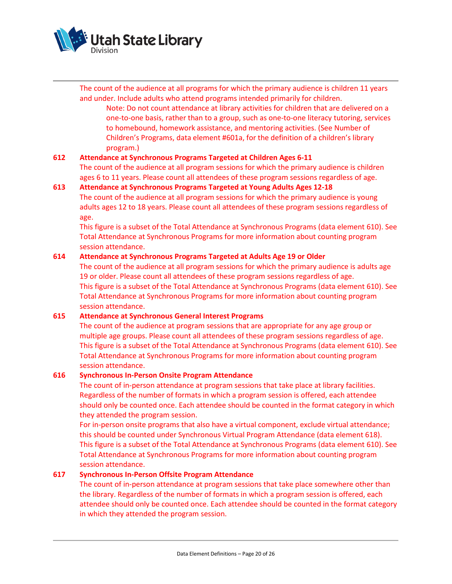

The count of the audience at all programs for which the primary audience is children 11 years and under. Include adults who attend programs intended primarily for children. Note: Do not count attendance at library activities for children that are delivered on a one-to-one basis, rather than to a group, such as one-to-one literacy tutoring, services to homebound, homework assistance, and mentoring activities. (See Number of Children's Programs, data element #601a, for the definition of a children's library program.)

## **612 Attendance at Synchronous Programs Targeted at Children Ages 6-11**

The count of the audience at all program sessions for which the primary audience is children ages 6 to 11 years. Please count all attendees of these program sessions regardless of age.

## **613 Attendance at Synchronous Programs Targeted at Young Adults Ages 12-18**

The count of the audience at all program sessions for which the primary audience is young adults ages 12 to 18 years. Please count all attendees of these program sessions regardless of age.

This figure is a subset of the Total Attendance at Synchronous Programs (data element 610). See Total Attendance at Synchronous Programs for more information about counting program session attendance.

## **614 Attendance at Synchronous Programs Targeted at Adults Age 19 or Older**

The count of the audience at all program sessions for which the primary audience is adults age 19 or older. Please count all attendees of these program sessions regardless of age. This figure is a subset of the Total Attendance at Synchronous Programs (data element 610). See Total Attendance at Synchronous Programs for more information about counting program session attendance.

## **615 Attendance at Synchronous General Interest Programs**

The count of the audience at program sessions that are appropriate for any age group or multiple age groups. Please count all attendees of these program sessions regardless of age. This figure is a subset of the Total Attendance at Synchronous Programs (data element 610). See Total Attendance at Synchronous Programs for more information about counting program session attendance.

## **616 Synchronous In-Person Onsite Program Attendance**

The count of in-person attendance at program sessions that take place at library facilities. Regardless of the number of formats in which a program session is offered, each attendee should only be counted once. Each attendee should be counted in the format category in which they attended the program session.

For in-person onsite programs that also have a virtual component, exclude virtual attendance; this should be counted under Synchronous Virtual Program Attendance (data element 618). This figure is a subset of the Total Attendance at Synchronous Programs (data element 610). See Total Attendance at Synchronous Programs for more information about counting program session attendance.

## **617 Synchronous In-Person Offsite Program Attendance**

The count of in-person attendance at program sessions that take place somewhere other than the library. Regardless of the number of formats in which a program session is offered, each attendee should only be counted once. Each attendee should be counted in the format category in which they attended the program session.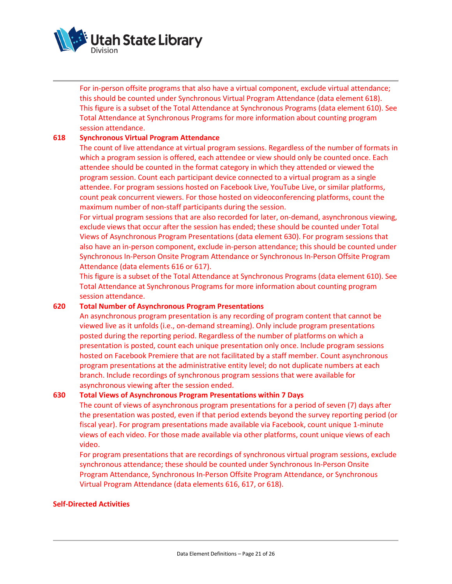

For in-person offsite programs that also have a virtual component, exclude virtual attendance; this should be counted under Synchronous Virtual Program Attendance (data element 618). This figure is a subset of the Total Attendance at Synchronous Programs (data element 610). See Total Attendance at Synchronous Programs for more information about counting program session attendance.

## **618 Synchronous Virtual Program Attendance**

The count of live attendance at virtual program sessions. Regardless of the number of formats in which a program session is offered, each attendee or view should only be counted once. Each attendee should be counted in the format category in which they attended or viewed the program session. Count each participant device connected to a virtual program as a single attendee. For program sessions hosted on Facebook Live, YouTube Live, or similar platforms, count peak concurrent viewers. For those hosted on videoconferencing platforms, count the maximum number of non-staff participants during the session.

For virtual program sessions that are also recorded for later, on-demand, asynchronous viewing, exclude views that occur after the session has ended; these should be counted under Total Views of Asynchronous Program Presentations (data element 630). For program sessions that also have an in-person component, exclude in-person attendance; this should be counted under Synchronous In-Person Onsite Program Attendance or Synchronous In-Person Offsite Program Attendance (data elements 616 or 617).

This figure is a subset of the Total Attendance at Synchronous Programs (data element 610). See Total Attendance at Synchronous Programs for more information about counting program session attendance.

#### **620 Total Number of Asynchronous Program Presentations**

An asynchronous program presentation is any recording of program content that cannot be viewed live as it unfolds (i.e., on-demand streaming). Only include program presentations posted during the reporting period. Regardless of the number of platforms on which a presentation is posted, count each unique presentation only once. Include program sessions hosted on Facebook Premiere that are not facilitated by a staff member. Count asynchronous program presentations at the administrative entity level; do not duplicate numbers at each branch. Include recordings of synchronous program sessions that were available for asynchronous viewing after the session ended.

## **630 Total Views of Asynchronous Program Presentations within 7 Days**

The count of views of asynchronous program presentations for a period of seven (7) days after the presentation was posted, even if that period extends beyond the survey reporting period (or fiscal year). For program presentations made available via Facebook, count unique 1-minute views of each video. For those made available via other platforms, count unique views of each video.

For program presentations that are recordings of synchronous virtual program sessions, exclude synchronous attendance; these should be counted under Synchronous In-Person Onsite Program Attendance, Synchronous In-Person Offsite Program Attendance, or Synchronous Virtual Program Attendance (data elements 616, 617, or 618).

#### **Self-Directed Activities**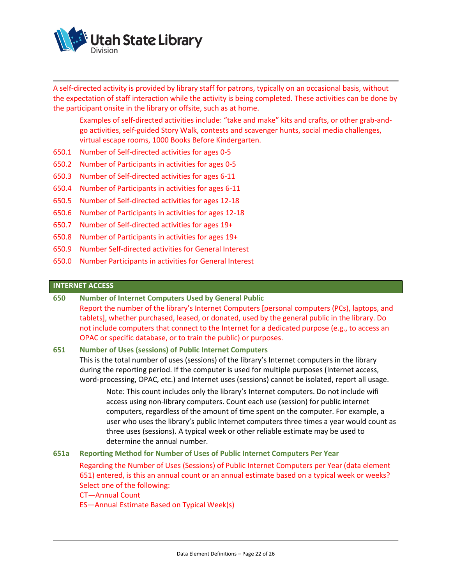

A self-directed activity is provided by library staff for patrons, typically on an occasional basis, without the expectation of staff interaction while the activity is being completed. These activities can be done by the participant onsite in the library or offsite, such as at home.

Examples of self-directed activities include: "take and make" kits and crafts, or other grab-andgo activities, self-guided Story Walk, contests and scavenger hunts, social media challenges, virtual escape rooms, 1000 Books Before Kindergarten.

- 650.1 Number of Self-directed activities for ages 0-5
- 650.2 Number of Participants in activities for ages 0-5
- 650.3 Number of Self-directed activities for ages 6-11
- 650.4 Number of Participants in activities for ages 6-11
- 650.5 Number of Self-directed activities for ages 12-18
- 650.6 Number of Participants in activities for ages 12-18
- 650.7 Number of Self-directed activities for ages 19+
- 650.8 Number of Participants in activities for ages 19+
- 650.9 Number Self-directed activities for General Interest
- 650.0 Number Participants in activities for General Interest

#### **INTERNET ACCESS**

- **650 Number of Internet Computers Used by General Public**
	- Report the number of the library's Internet Computers [personal computers (PCs), laptops, and tablets], whether purchased, leased, or donated, used by the general public in the library. Do not include computers that connect to the Internet for a dedicated purpose (e.g., to access an OPAC or specific database, or to train the public) or purposes.

#### **651 Number of Uses (sessions) of Public Internet Computers**

This is the total number of uses (sessions) of the library's Internet computers in the library during the reporting period. If the computer is used for multiple purposes (Internet access, word-processing, OPAC, etc.) and Internet uses (sessions) cannot be isolated, report all usage.

Note: This count includes only the library's Internet computers. Do not include wifi access using non-library computers. Count each use (session) for public internet computers, regardless of the amount of time spent on the computer. For example, a user who uses the library's public Internet computers three times a year would count as three uses (sessions). A typical week or other reliable estimate may be used to determine the annual number.

#### **651a Reporting Method for Number of Uses of Public Internet Computers Per Year**

Regarding the Number of Uses (Sessions) of Public Internet Computers per Year (data element 651) entered, is this an annual count or an annual estimate based on a typical week or weeks? Select one of the following:

CT—Annual Count

ES—Annual Estimate Based on Typical Week(s)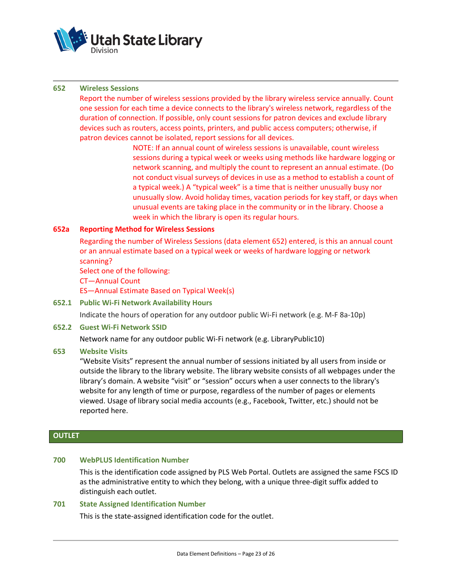

#### **652 Wireless Sessions**

Report the number of wireless sessions provided by the library wireless service annually. Count one session for each time a device connects to the library's wireless network, regardless of the duration of connection. If possible, only count sessions for patron devices and exclude library devices such as routers, access points, printers, and public access computers; otherwise, if patron devices cannot be isolated, report sessions for all devices.

> NOTE: If an annual count of wireless sessions is unavailable, count wireless sessions during a typical week or weeks using methods like hardware logging or network scanning, and multiply the count to represent an annual estimate. (Do not conduct visual surveys of devices in use as a method to establish a count of a typical week.) A "typical week" is a time that is neither unusually busy nor unusually slow. Avoid holiday times, vacation periods for key staff, or days when unusual events are taking place in the community or in the library. Choose a week in which the library is open its regular hours.

## **652a Reporting Method for Wireless Sessions**

Regarding the number of Wireless Sessions (data element 652) entered, is this an annual count or an annual estimate based on a typical week or weeks of hardware logging or network scanning?

Select one of the following:

CT—Annual Count

ES—Annual Estimate Based on Typical Week(s)

#### **652.1 Public Wi-Fi Network Availability Hours**

Indicate the hours of operation for any outdoor public Wi-Fi network (e.g. M-F 8a-10p)

#### **652.2 Guest Wi-Fi Network SSID**

Network name for any outdoor public Wi-Fi network (e.g. LibraryPublic10)

#### **653 Website Visits**

"Website Visits" represent the annual number of sessions initiated by all users from inside or outside the library to the library website. The library website consists of all webpages under the library's domain. A website "visit" or "session" occurs when a user connects to the library's website for any length of time or purpose, regardless of the number of pages or elements viewed. Usage of library social media accounts (e.g., Facebook, Twitter, etc.) should not be reported here.

## **OUTLET**

#### **700 WebPLUS Identification Number**

This is the identification code assigned by PLS Web Portal. Outlets are assigned the same FSCS ID as the administrative entity to which they belong, with a unique three-digit suffix added to distinguish each outlet.

#### **701 State Assigned Identification Number**

This is the state-assigned identification code for the outlet.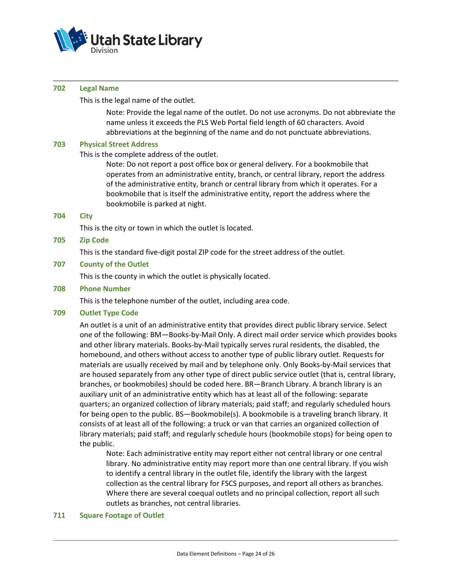

#### **702 Legal Name**

This is the legal name of the outlet.

Note: Provide the legal name of the outlet. Do not use acronyms. Do not abbreviate the name unless it exceeds the PLS Web Portal field length of 60 characters. Avoid abbreviations at the beginning of the name and do not punctuate abbreviations.

## **703 Physical Street Address**

This is the complete address of the outlet.

Note: Do not report a post office box or general delivery. For a bookmobile that operates from an administrative entity, branch, or central library, report the address of the administrative entity, branch or central library from which it operates. For a bookmobile that is itself the administrative entity, report the address where the bookmobile is parked at night.

#### **704 City**

This is the city or town in which the outlet is located.

## **705 Zip Code**

This is the standard five-digit postal ZIP code for the street address of the outlet.

## **707 County of the Outlet**

This is the county in which the outlet is physically located.

#### **708 Phone Number**

This is the telephone number of the outlet, including area code.

#### **709 Outlet Type Code**

An outlet is a unit of an administrative entity that provides direct public library service. Select one of the following: BM—Books-by-Mail Only. A direct mail order service which provides books and other library materials. Books-by-Mail typically serves rural residents, the disabled, the homebound, and others without access to another type of public library outlet. Requests for materials are usually received by mail and by telephone only. Only Books-by-Mail services that are housed separately from any other type of direct public service outlet (that is, central library, branches, or bookmobiles) should be coded here. BR—Branch Library. A branch library is an auxiliary unit of an administrative entity which has at least all of the following: separate quarters; an organized collection of library materials; paid staff; and regularly scheduled hours for being open to the public. BS—Bookmobile(s). A bookmobile is a traveling branch library. It consists of at least all of the following: a truck or van that carries an organized collection of library materials; paid staff; and regularly schedule hours (bookmobile stops) for being open to the public.

Note: Each administrative entity may report either not central library or one central library. No administrative entity may report more than one central library. If you wish to identify a central library in the outlet file, identify the library with the largest collection as the central library for FSCS purposes, and report all others as branches. Where there are several coequal outlets and no principal collection, report all such outlets as branches, not central libraries.

## **711 Square Footage of Outlet**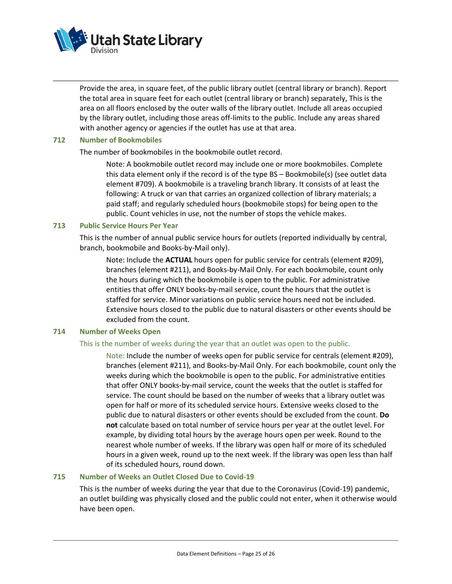

Provide the area, in square feet, of the public library outlet (central library or branch). Report the total area in square feet for each outlet (central library or branch) separately, This is the area on all floors enclosed by the outer walls of the library outlet. Include all areas occupied by the library outlet, including those areas off-limits to the public. Include any areas shared with another agency or agencies if the outlet has use at that area.

#### **712 Number of Bookmobiles**

The number of bookmobiles in the bookmobile outlet record.

Note: A bookmobile outlet record may include one or more bookmobiles. Complete this data element only if the record is of the type BS – Bookmobile(s) (see outlet data element #709). A bookmobile is a traveling branch library. It consists of at least the following: A truck or van that carries an organized collection of library materials; a paid staff; and regularly scheduled hours (bookmobile stops) for being open to the public. Count vehicles in use, not the number of stops the vehicle makes.

#### **713 Public Service Hours Per Year**

This is the number of annual public service hours for outlets (reported individually by central, branch, bookmobile and Books-by-Mail only).

Note: Include the **ACTUAL** hours open for public service for centrals (element #209), branches (element #211), and Books-by-Mail Only. For each bookmobile, count only the hours during which the bookmobile is open to the public. For administrative entities that offer ONLY books-by-mail service, count the hours that the outlet is staffed for service. Minor variations on public service hours need not be included. Extensive hours closed to the public due to natural disasters or other events should be excluded from the count.

#### **714 Number of Weeks Open**

#### This is the number of weeks during the year that an outlet was open to the public.

Note: Include the number of weeks open for public service for centrals (element #209), branches (element #211), and Books-by-Mail Only. For each bookmobile, count only the weeks during which the bookmobile is open to the public. For administrative entities that offer ONLY books-by-mail service, count the weeks that the outlet is staffed for service. The count should be based on the number of weeks that a library outlet was open for half or more of its scheduled service hours. Extensive weeks closed to the public due to natural disasters or other events should be excluded from the count. **Do not** calculate based on total number of service hours per year at the outlet level. For example, by dividing total hours by the average hours open per week. Round to the nearest whole number of weeks. If the library was open half or more of its scheduled hours in a given week, round up to the next week. If the library was open less than half of its scheduled hours, round down.

## **715 Number of Weeks an Outlet Closed Due to Covid-19**

This is the number of weeks during the year that due to the Coronavirus (Covid-19) pandemic, an outlet building was physically closed and the public could not enter, when it otherwise would have been open.